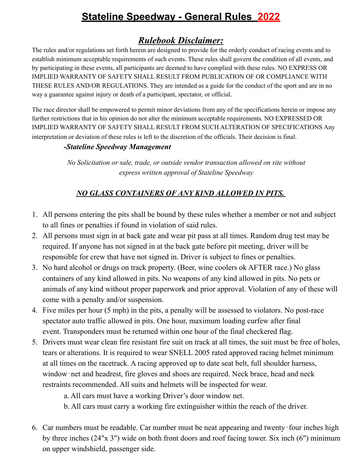# **Stateline Speedway - General Rules 2022**

## *Rulebook Disclaimer:*

The rules and/or regulations set forth herein are designed to provide for the orderly conduct of racing events and to establish minimum acceptable requirements of such events. These rules shall govern the condition of all events, and by participating in these events, all participants are deemed to have complied with these rules. NO EXPRESS OR IMPLIED WARRANTY OF SAFETY SHALL RESULT FROM PUBLICATION OF OR COMPLIANCE WITH THESE RULES AND/OR REGULATIONS. They are intended as a guide for the conduct of the sport and are in no way a guarantee against injury or death of a participant, spectator, or official.

The race director shall be empowered to permit minor deviations from any of the specifications herein or impose any further restrictions that in his opinion do not alter the minimum acceptable requirements. NO EXPRESSED OR IMPLIED WARRANTY OF SAFETY SHALL RESULT FROM SUCH ALTERATION OF SPECIFICATIONS Any interpretation or deviation of these rules is left to the discretion of the officials. Their decision is final.

#### *-Stateline Speedway Management*

*No Solicitation or sale, trade, or outside vendor transaction allowed on site without express written approval of Stateline Speedway*

## *NO GLASS CONTAINERS OF ANY KIND ALLOWED IN PITS.*

- 1. All persons entering the pits shall be bound by these rules whether a member or not and subject to all fines or penalties if found in violation of said rules.
- 2. All persons must sign in at back gate and wear pit pass at all times. Random drug test may be required. If anyone has not signed in at the back gate before pit meeting, driver will be responsible for crew that have not signed in. Driver is subject to fines or penalties.
- 3. No hard alcohol or drugs on track property. (Beer, wine coolers ok AFTER race.) No glass containers of any kind allowed in pits. No weapons of any kind allowed in pits. No pets or animals of any kind without proper paperwork and prior approval. Violation of any of these will come with a penalty and/or suspension.
- 4. Five miles per hour (5 mph) in the pits, a penalty will be assessed to violators. No post-race spectator auto traffic allowed in pits. One hour, maximum loading curfew after final event. Transponders must be returned within one hour of the final checkered flag.
- 5. Drivers must wear clean fire resistant fire suit on track at all times, the suit must be free of holes, tears or alterations. It is required to wear SNELL 2005 rated approved racing helmet minimum at all times on the racetrack. A racing approved up to date seat belt, full shoulder harness, window-net and headrest, fire gloves and shoes are required. Neck brace, head and neck restraints recommended. All suits and helmets will be inspected for wear.

a. All cars must have a working Driver's door window net.

- b. All cars must carry a working fire extinguisher within the reach of the driver.
- 6. Car numbers must be readable. Car number must be neat appearing and twenty‐four inches high by three inches (24"x 3") wide on both front doors and roof facing tower. Six inch (6") minimum on upper windshield, passenger side.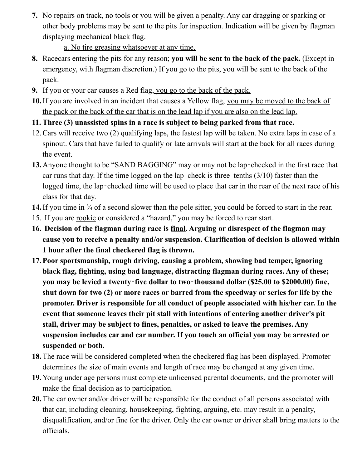**7.** No repairs on track, no tools or you will be given a penalty. Any car dragging or sparking or other body problems may be sent to the pits for inspection. Indication will be given by flagman displaying mechanical black flag.

## a. No tire greasing whatsoever at any time.

- **8.** Racecars entering the pits for any reason; **you will be sent to the back of the pack.** (Except in emergency, with flagman discretion.) If you go to the pits, you will be sent to the back of the pack.
- **9.** If you or your car causes a Red flag, you go to the back of the pack.
- **10.**If you are involved in an incident that causes a Yellow flag, you may be moved to the back of the pack or the back of the car that is on the lead lap if you are also on the lead lap.
- **11. Three (3) unassisted spins in a race is subject to being parked from that race.**
- 12.Cars will receive two (2) qualifying laps, the fastest lap will be taken. No extra laps in case of a spinout. Cars that have failed to qualify or late arrivals will start at the back for all races during the event.
- 13. Anyone thought to be "SAND BAGGING" may or may not be lap-checked in the first race that car runs that day. If the time logged on the lap-check is three-tenths (3/10) faster than the logged time, the lap-checked time will be used to place that car in the rear of the next race of his class for that day.
- 14. If you time in <sup>3</sup>/<sub>4</sub> of a second slower than the pole sitter, you could be forced to start in the rear.
- 15. If you are rookie or considered a "hazard," you may be forced to rear start.
- **16. Decision of the flagman during race is final. Arguing or disrespect of the flagman may cause you to receive a penalty and/or suspension. Clarification of decision is allowed within 1 hour after the final checkered flag is thrown.**
- **17.Poor sportsmanship, rough driving, causing a problem, showing bad temper, ignoring black flag, fighting, using bad language, distracting flagman during races. Any of these; you may be levied a twenty**‐**five dollar to two**‐**thousand dollar (\$25.00 to \$2000.00) fine, shut down for two (2) or more races or barred from the speedway or series for life by the promoter. Driver is responsible for all conduct of people associated with his/her car. In the event that someone leaves their pit stall with intentions of entering another driver's pit stall, driver may be subject to fines, penalties, or asked to leave the premises. Any suspension includes car and car number. If you touch an official you may be arrested or suspended or both.**
- **18.**The race will be considered completed when the checkered flag has been displayed. Promoter determines the size of main events and length of race may be changed at any given time.
- **19.**Young under age persons must complete unlicensed parental documents, and the promoter will make the final decision as to participation.
- **20.**The car owner and/or driver will be responsible for the conduct of all persons associated with that car, including cleaning, housekeeping, fighting, arguing, etc. may result in a penalty, disqualification, and/or fine for the driver. Only the car owner or driver shall bring matters to the officials.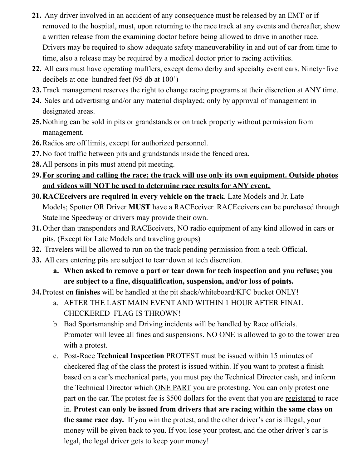- **21.** Any driver involved in an accident of any consequence must be released by an EMT or if removed to the hospital, must, upon returning to the race track at any events and thereafter, show a written release from the examining doctor before being allowed to drive in another race. Drivers may be required to show adequate safety maneuverability in and out of car from time to time, also a release may be required by a medical doctor prior to racing activities.
- **22.** All cars must have operating mufflers, except demo derby and specialty event cars. Ninety‐five decibels at one‐hundred feet (95 db at 100')
- **23.**Track management reserves the right to change racing programs at their discretion at ANY time.
- **24.** Sales and advertising and/or any material displayed; only by approval of management in designated areas.
- **25.**Nothing can be sold in pits or grandstands or on track property without permission from management.
- **26.**Radios are off limits, except for authorized personnel.
- **27.**No foot traffic between pits and grandstands inside the fenced area.
- **28.**All persons in pits must attend pit meeting.
- **29.For scoring and calling the race; the track will use only its own equipment. Outside photos and videos will NOT be used to determine race results for ANY event.**
- **30.RACEceivers are required in every vehicle on the track**. Late Models and Jr. Late Models; Spotter OR Driver **MUST** have a RACEceiver. RACEceivers can be purchased through Stateline Speedway or drivers may provide their own.
- **31.**Other than transponders and RACEceivers, NO radio equipment of any kind allowed in cars or pits. (Except for Late Models and traveling groups)
- **32.** Travelers will be allowed to run on the track pending permission from a tech Official.
- **33.** All cars entering pits are subject to tear-down at tech discretion.
	- **a. When asked to remove a part or tear down for tech inspection and you refuse; you are subject to a fine, disqualification, suspension, and/or loss of points.**
- **34.**Protest on **finishes** will be handled at the pit shack/whiteboard/KFC bucket ONLY!
	- a. AFTER THE LAST MAIN EVENT AND WITHIN 1 HOUR AFTER FINAL CHECKERED FLAG IS THROWN!
	- b. Bad Sportsmanship and Driving incidents will be handled by Race officials. Promoter will levee all fines and suspensions. NO ONE is allowed to go to the tower area with a protest.
	- c. Post-Race **Technical Inspection** PROTEST must be issued within 15 minutes of checkered flag of the class the protest is issued within. If you want to protest a finish based on a car's mechanical parts, you must pay the Technical Director cash, and inform the Technical Director which ONE PART you are protesting. You can only protest one part on the car. The protest fee is \$500 dollars for the event that you are registered to race in. **Protest can only be issued from drivers that are racing within the same class on the same race day.** If you win the protest, and the other driver's car is illegal, your money will be given back to you. If you lose your protest, and the other driver's car is legal, the legal driver gets to keep your money!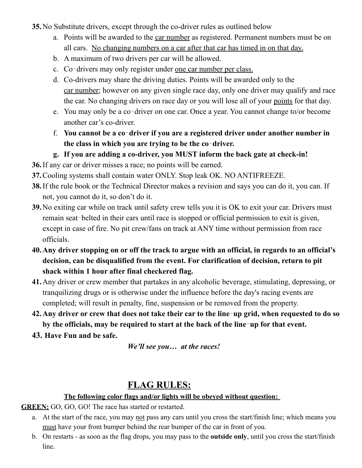**35.**No Substitute drivers, except through the co-driver rules as outlined below

- a. Points will be awarded to the car number as registered. Permanent numbers must be on all cars. No changing numbers on a car after that car has timed in on that day.
- b. A maximum of two drivers per car will be allowed.
- c. Co-drivers may only register under one car number per class.
- d. Co-drivers may share the driving duties. Points will be awarded only to the car number; however on any given single race day, only one driver may qualify and race the car. No changing drivers on race day or you will lose all of your points for that day.
- e. You may only be a co‐driver on one car. Once a year. You cannot change to/or become another car's co-driver.
- f. **You cannot be a co**‐**driver if you are a registered driver under another number in the class in which you are trying to be the co**‐**driver.**
- **g. If you are adding a co-driver, you MUST inform the back gate at check-in!**
- **36.**If any car or driver misses a race; no points will be earned.
- **37.**Cooling systems shall contain water ONLY. Stop leak OK. NO ANTIFREEZE.
- **38.**If the rule book or the Technical Director makes a revision and says you can do it, you can. If not, you cannot do it, so don't do it.
- **39.**No exiting car while on track until safety crew tells you it is OK to exit your car. Drivers must remain seat-belted in their cars until race is stopped or official permission to exit is given, except in case of fire. No pit crew/fans on track at ANY time without permission from race officials.
- **40.Any driver stopping on or off the track to argue with an official, in regards to an official's decision, can be disqualified from the event. For clarification of decision, return to pit shack within 1 hour after final checkered flag.**
- **41.**Any driver or crew member that partakes in any alcoholic beverage, stimulating, depressing, or tranquilizing drugs or is otherwise under the influence before the day's racing events are completed; will result in penalty, fine, suspension or be removed from the property.
- 42. Any driver or crew that does not take their car to the line-up grid, when requested to do so **by the officials, may be required to start at the back of the line**‐**up for that event.**
- **43. Have Fun and be safe.**

*We'll see you… at the races!*

# **FLAG RULES:**

#### **The following color flags and/or lights will be obeyed without question:**

**GREEN:** GO, GO, GO! The race has started or restarted.

- a. At the start of the race, you may not pass any cars until you cross the start/finish line; which means you must have your front bumper behind the rear bumper of the car in front of you.
- b. On restarts as soon as the flag drops, you may pass to the **outside only**, until you cross the start/finish line.